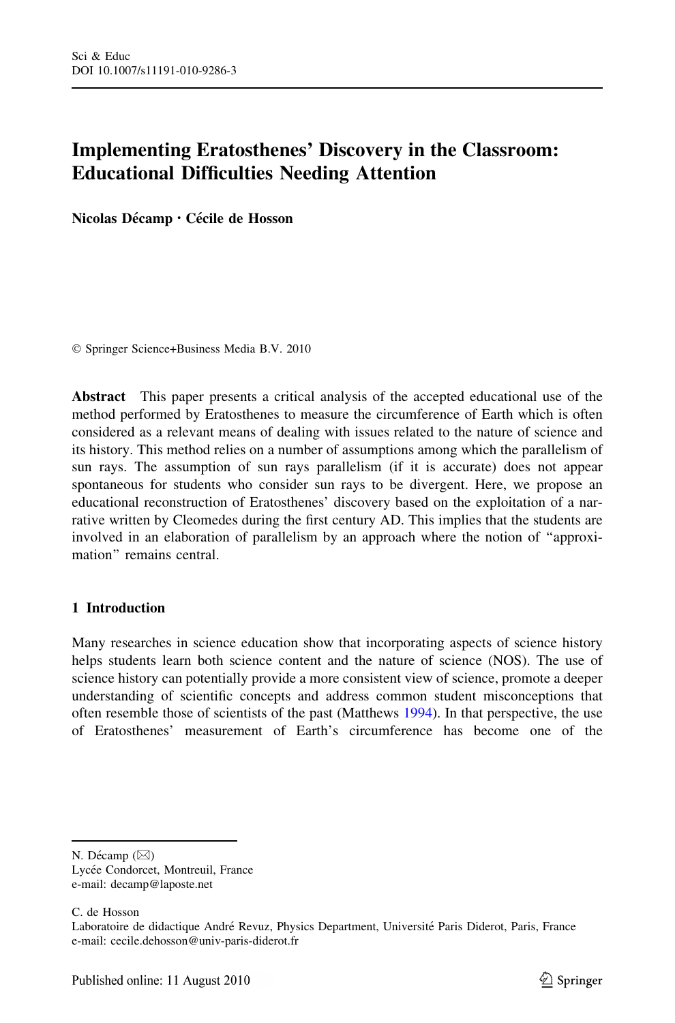# Implementing Eratosthenes' Discovery in the Classroom: Educational Difficulties Needing Attention

Nicolas Décamp · Cécile de Hosson

- Springer Science+Business Media B.V. 2010

Abstract This paper presents a critical analysis of the accepted educational use of the method performed by Eratosthenes to measure the circumference of Earth which is often considered as a relevant means of dealing with issues related to the nature of science and its history. This method relies on a number of assumptions among which the parallelism of sun rays. The assumption of sun rays parallelism (if it is accurate) does not appear spontaneous for students who consider sun rays to be divergent. Here, we propose an educational reconstruction of Eratosthenes' discovery based on the exploitation of a narrative written by Cleomedes during the first century AD. This implies that the students are involved in an elaboration of parallelism by an approach where the notion of ''approximation'' remains central.

## 1 Introduction

Many researches in science education show that incorporating aspects of science history helps students learn both science content and the nature of science (NOS). The use of science history can potentially provide a more consistent view of science, promote a deeper understanding of scientific concepts and address common student misconceptions that often resemble those of scientists of the past (Matthews [1994\)](#page-9-0). In that perspective, the use of Eratosthenes' measurement of Earth's circumference has become one of the

N. Décamp  $(\boxtimes)$ 

Lycée Condorcet, Montreuil, France e-mail: decamp@laposte.net

C. de Hosson

Laboratoire de didactique André Revuz, Physics Department, Université Paris Diderot, Paris, France e-mail: cecile.dehosson@univ-paris-diderot.fr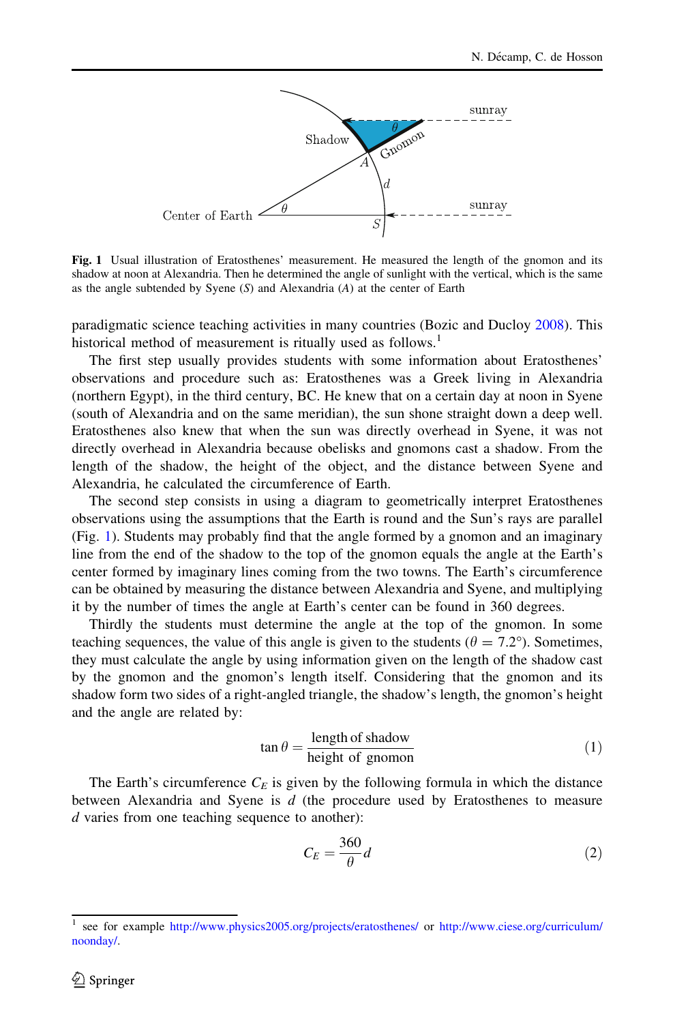

Fig. 1 Usual illustration of Eratosthenes' measurement. He measured the length of the gnomon and its shadow at noon at Alexandria. Then he determined the angle of sunlight with the vertical, which is the same as the angle subtended by Syene  $(S)$  and Alexandria  $(A)$  at the center of Earth

paradigmatic science teaching activities in many countries (Bozic and Ducloy [2008](#page-9-0)). This historical method of measurement is ritually used as follows.<sup>1</sup>

The first step usually provides students with some information about Eratosthenes' observations and procedure such as: Eratosthenes was a Greek living in Alexandria (northern Egypt), in the third century, BC. He knew that on a certain day at noon in Syene (south of Alexandria and on the same meridian), the sun shone straight down a deep well. Eratosthenes also knew that when the sun was directly overhead in Syene, it was not directly overhead in Alexandria because obelisks and gnomons cast a shadow. From the length of the shadow, the height of the object, and the distance between Syene and Alexandria, he calculated the circumference of Earth.

The second step consists in using a diagram to geometrically interpret Eratosthenes observations using the assumptions that the Earth is round and the Sun's rays are parallel (Fig. 1). Students may probably find that the angle formed by a gnomon and an imaginary line from the end of the shadow to the top of the gnomon equals the angle at the Earth's center formed by imaginary lines coming from the two towns. The Earth's circumference can be obtained by measuring the distance between Alexandria and Syene, and multiplying it by the number of times the angle at Earth's center can be found in 360 degrees.

Thirdly the students must determine the angle at the top of the gnomon. In some teaching sequences, the value of this angle is given to the students ( $\theta = 7.2^{\circ}$ ). Sometimes, they must calculate the angle by using information given on the length of the shadow cast by the gnomon and the gnomon's length itself. Considering that the gnomon and its shadow form two sides of a right-angled triangle, the shadow's length, the gnomon's height and the angle are related by:

$$
\tan \theta = \frac{\text{length of shadow}}{\text{height of gnomon}} \tag{1}
$$

The Earth's circumference  $C_E$  is given by the following formula in which the distance between Alexandria and Syene is  $d$  (the procedure used by Eratosthenes to measure d varies from one teaching sequence to another):

$$
C_E = \frac{360}{\theta}d\tag{2}
$$

see for example <http://www.physics2005.org/projects/eratosthenes/> or [http://www.ciese.org/curriculum/](http://www.ciese.org/curriculum/noonday/) [noonday/](http://www.ciese.org/curriculum/noonday/).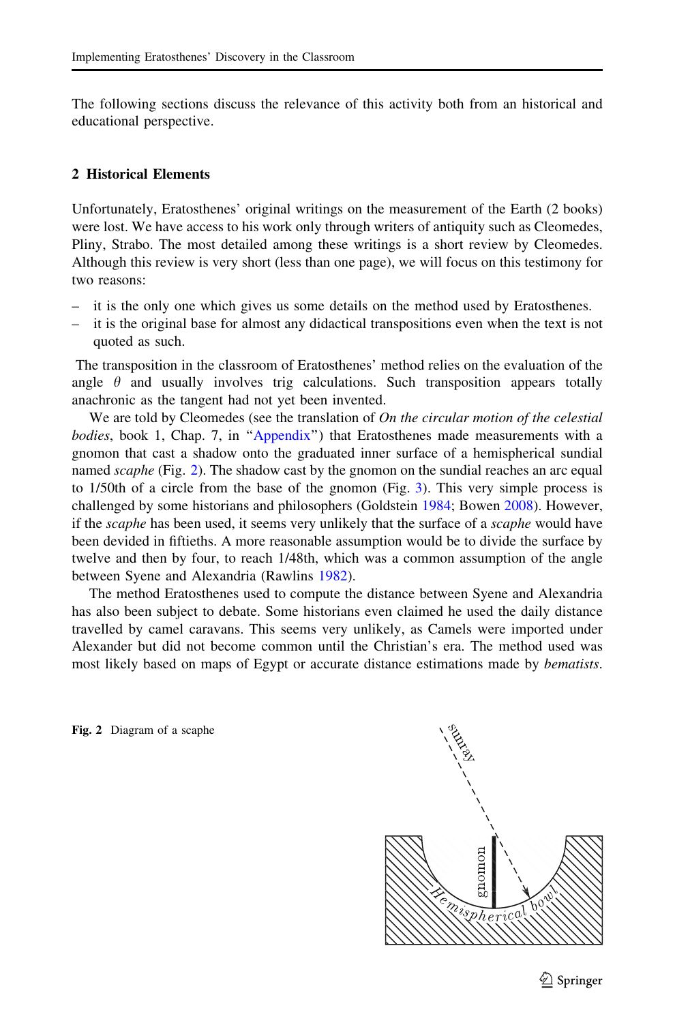The following sections discuss the relevance of this activity both from an historical and educational perspective.

#### 2 Historical Elements

Unfortunately, Eratosthenes' original writings on the measurement of the Earth (2 books) were lost. We have access to his work only through writers of antiquity such as Cleomedes, Pliny, Strabo. The most detailed among these writings is a short review by Cleomedes. Although this review is very short (less than one page), we will focus on this testimony for two reasons:

- it is the only one which gives us some details on the method used by Eratosthenes.
- it is the original base for almost any didactical transpositions even when the text is not quoted as such.

The transposition in the classroom of Eratosthenes' method relies on the evaluation of the angle  $\theta$  and usually involves trig calculations. Such transposition appears totally anachronic as the tangent had not yet been invented.

We are told by Cleomedes (see the translation of On the circular motion of the celestial bodies, book 1, Chap. 7, in "Appendix") that Eratosthenes made measurements with a gnomon that cast a shadow onto the graduated inner surface of a hemispherical sundial named scaphe (Fig. 2). The shadow cast by the gnomon on the sundial reaches an arc equal to 1/50th of a circle from the base of the gnomon (Fig. [3](#page-3-0)). This very simple process is challenged by some historians and philosophers (Goldstein [1984;](#page-9-0) Bowen [2008](#page-9-0)). However, if the *scaphe* has been used, it seems very unlikely that the surface of a *scaphe* would have been devided in fiftieths. A more reasonable assumption would be to divide the surface by twelve and then by four, to reach 1/48th, which was a common assumption of the angle between Syene and Alexandria (Rawlins [1982](#page-9-0)).

The method Eratosthenes used to compute the distance between Syene and Alexandria has also been subject to debate. Some historians even claimed he used the daily distance travelled by camel caravans. This seems very unlikely, as Camels were imported under Alexander but did not become common until the Christian's era. The method used was most likely based on maps of Egypt or accurate distance estimations made by *bematists*.

Fig. 2 Diagram of a scaphe

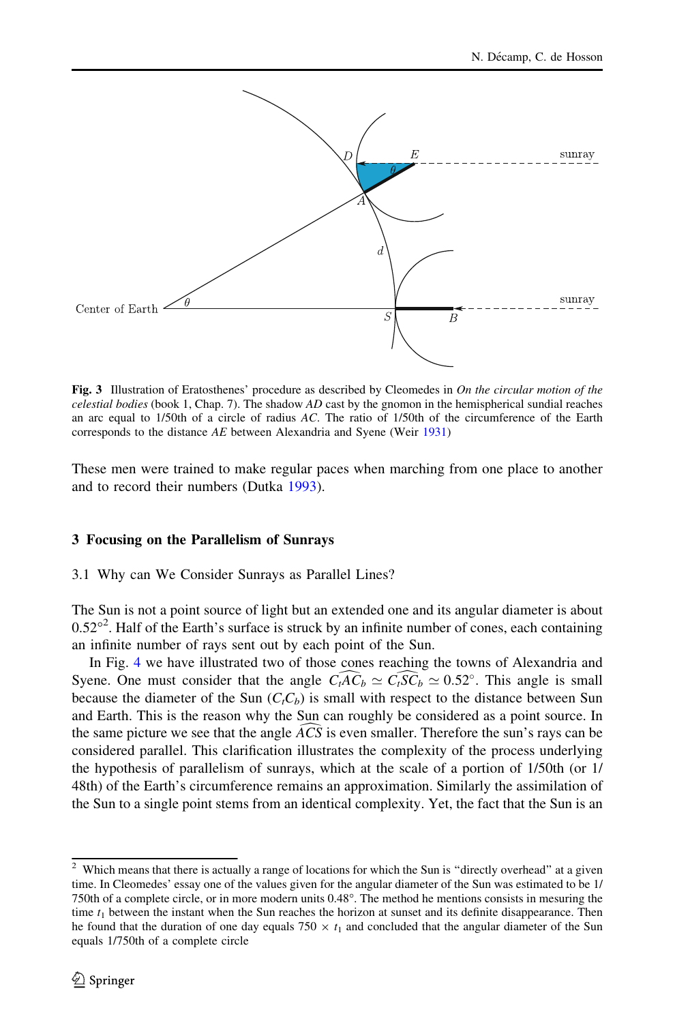<span id="page-3-0"></span>

Fig. 3 Illustration of Eratosthenes' procedure as described by Cleomedes in On the circular motion of the celestial bodies (book 1, Chap. 7). The shadow AD cast by the gnomon in the hemispherical sundial reaches an arc equal to 1/50th of a circle of radius AC. The ratio of 1/50th of the circumference of the Earth corresponds to the distance AE between Alexandria and Syene (Weir [1931](#page-9-0))

These men were trained to make regular paces when marching from one place to another and to record their numbers (Dutka [1993](#page-9-0)).

## 3 Focusing on the Parallelism of Sunrays

#### 3.1 Why can We Consider Sunrays as Parallel Lines?

The Sun is not a point source of light but an extended one and its angular diameter is about  $0.52^{\circ2}$ . Half of the Earth's surface is struck by an infinite number of cones, each containing an infinite number of rays sent out by each point of the Sun.

In Fig. [4](#page-4-0) we have illustrated two of those cones reaching the towns of Alexandria and Syene. One must consider that the angle  $C_t \hat{AC}_b \simeq C_t \hat{SC}_b \simeq 0.52^\circ$ . This angle is small because the diameter of the Sun  $(C<sub>i</sub>C<sub>b</sub>)$  is small with respect to the distance between Sun and Earth. This is the reason why the Sun can roughly be considered as a point source. In the same picture we see that the angle  $\angle ACS$  is even smaller. Therefore the sun's rays can be considered parallel. This clarification illustrates the complexity of the process underlying the hypothesis of parallelism of sunrays, which at the scale of a portion of 1/50th (or 1/ 48th) of the Earth's circumference remains an approximation. Similarly the assimilation of the Sun to a single point stems from an identical complexity. Yet, the fact that the Sun is an

<sup>&</sup>lt;sup>2</sup> Which means that there is actually a range of locations for which the Sun is "directly overhead" at a given time. In Cleomedes' essay one of the values given for the angular diameter of the Sun was estimated to be 1/ 750th of a complete circle, or in more modern units 0.48°. The method he mentions consists in mesuring the time  $t_1$  between the instant when the Sun reaches the horizon at sunset and its definite disappearance. Then he found that the duration of one day equals 750  $\times t_1$  and concluded that the angular diameter of the Sun equals 1/750th of a complete circle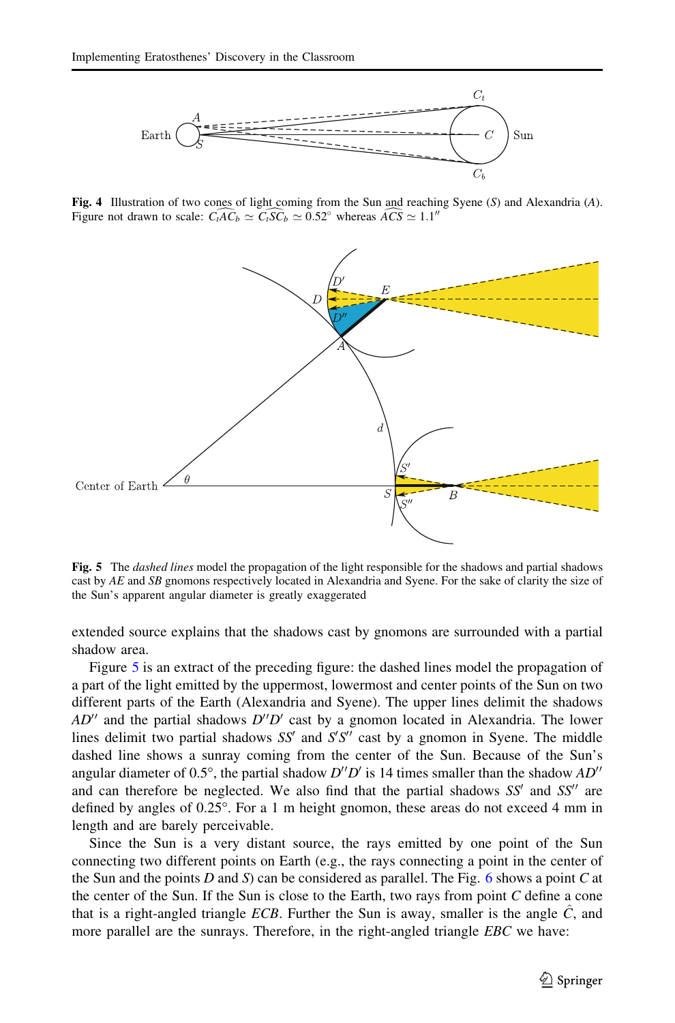<span id="page-4-0"></span>

Fig. 4 Illustration of two cones of light coming from the Sun and reaching Syene (S) and Alexandria (A). Figure not drawn to scale:  $C_t A C_b \simeq C_t S C_b \simeq 0.52^\circ$  whereas  $\overline{A} C \overline{S} \simeq 1.1$ <sup>n</sup>



Fig. 5 The *dashed lines* model the propagation of the light responsible for the shadows and partial shadows cast by AE and SB gnomons respectively located in Alexandria and Syene. For the sake of clarity the size of the Sun's apparent angular diameter is greatly exaggerated

extended source explains that the shadows cast by gnomons are surrounded with a partial shadow area.

Figure 5 is an extract of the preceding figure: the dashed lines model the propagation of a part of the light emitted by the uppermost, lowermost and center points of the Sun on two different parts of the Earth (Alexandria and Syene). The upper lines delimit the shadows  $AD''$  and the partial shadows  $D''D'$  cast by a gnomon located in Alexandria. The lower lines delimit two partial shadows  $SS'$  and  $S'S''$  cast by a gnomon in Syene. The middle dashed line shows a sunray coming from the center of the Sun. Because of the Sun's angular diameter of 0.5°, the partial shadow  $D^{\prime\prime}D^{\prime}$  is 14 times smaller than the shadow  $AD^{\prime\prime}$ and can therefore be neglected. We also find that the partial shadows  $SS'$  and  $SS''$  are defined by angles of  $0.25^{\circ}$ . For a 1 m height gnomon, these areas do not exceed 4 mm in length and are barely perceivable.

Since the Sun is a very distant source, the rays emitted by one point of the Sun connecting two different points on Earth (e.g., the rays connecting a point in the center of the Sun and the points D and S) can be considered as parallel. The Fig. [6](#page-5-0) shows a point C at the center of the Sun. If the Sun is close to the Earth, two rays from point  $C$  define a cone that is a right-angled triangle *ECB*. Further the Sun is away, smaller is the angle  $\hat{C}$ , and more parallel are the sunrays. Therefore, in the right-angled triangle *EBC* we have: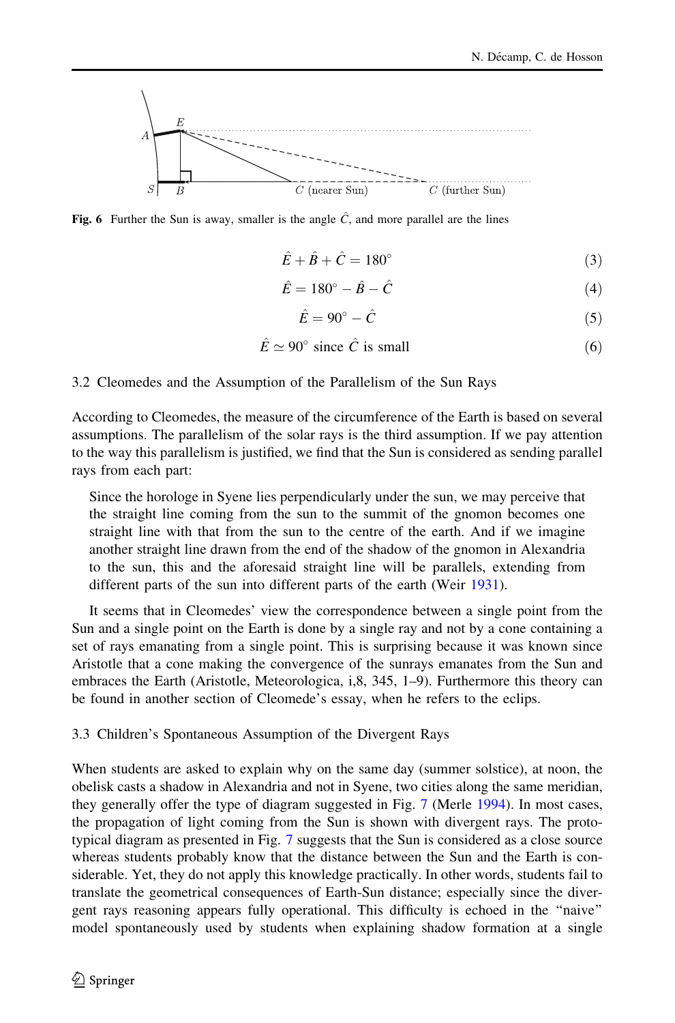<span id="page-5-0"></span>

Fig. 6 Further the Sun is away, smaller is the angle  $\hat{C}$ , and more parallel are the lines

$$
\hat{E} + \hat{B} + \hat{C} = 180^{\circ} \tag{3}
$$

$$
\hat{E} = 180^\circ - \hat{B} - \hat{C} \tag{4}
$$

$$
\hat{E} = 90^{\circ} - \hat{C} \tag{5}
$$

$$
\hat{E} \simeq 90^{\circ} \text{ since } \hat{C} \text{ is small } \tag{6}
$$

#### 3.2 Cleomedes and the Assumption of the Parallelism of the Sun Rays

According to Cleomedes, the measure of the circumference of the Earth is based on several assumptions. The parallelism of the solar rays is the third assumption. If we pay attention to the way this parallelism is justified, we find that the Sun is considered as sending parallel rays from each part:

Since the horologe in Syene lies perpendicularly under the sun, we may perceive that the straight line coming from the sun to the summit of the gnomon becomes one straight line with that from the sun to the centre of the earth. And if we imagine another straight line drawn from the end of the shadow of the gnomon in Alexandria to the sun, this and the aforesaid straight line will be parallels, extending from different parts of the sun into different parts of the earth (Weir [1931](#page-9-0)).

It seems that in Cleomedes' view the correspondence between a single point from the Sun and a single point on the Earth is done by a single ray and not by a cone containing a set of rays emanating from a single point. This is surprising because it was known since Aristotle that a cone making the convergence of the sunrays emanates from the Sun and embraces the Earth (Aristotle, Meteorologica, i,8, 345, 1–9). Furthermore this theory can be found in another section of Cleomede's essay, when he refers to the eclips.

#### 3.3 Children's Spontaneous Assumption of the Divergent Rays

When students are asked to explain why on the same day (summer solstice), at noon, the obelisk casts a shadow in Alexandria and not in Syene, two cities along the same meridian, they generally offer the type of diagram suggested in Fig. [7](#page-6-0) (Merle [1994](#page-9-0)). In most cases, the propagation of light coming from the Sun is shown with divergent rays. The prototypical diagram as presented in Fig. [7](#page-6-0) suggests that the Sun is considered as a close source whereas students probably know that the distance between the Sun and the Earth is considerable. Yet, they do not apply this knowledge practically. In other words, students fail to translate the geometrical consequences of Earth-Sun distance; especially since the divergent rays reasoning appears fully operational. This difficulty is echoed in the ''naive'' model spontaneously used by students when explaining shadow formation at a single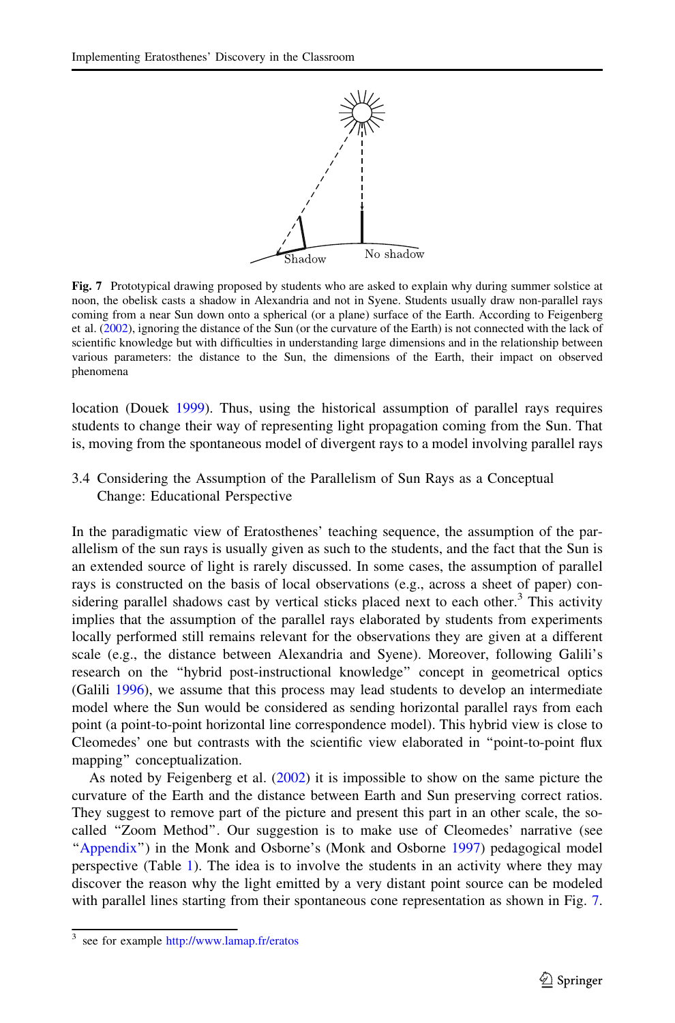<span id="page-6-0"></span>

Fig. 7 Prototypical drawing proposed by students who are asked to explain why during summer solstice at noon, the obelisk casts a shadow in Alexandria and not in Syene. Students usually draw non-parallel rays coming from a near Sun down onto a spherical (or a plane) surface of the Earth. According to Feigenberg et al. ([2002](#page-9-0)), ignoring the distance of the Sun (or the curvature of the Earth) is not connected with the lack of scientific knowledge but with difficulties in understanding large dimensions and in the relationship between various parameters: the distance to the Sun, the dimensions of the Earth, their impact on observed phenomena

location (Douek [1999](#page-9-0)). Thus, using the historical assumption of parallel rays requires students to change their way of representing light propagation coming from the Sun. That is, moving from the spontaneous model of divergent rays to a model involving parallel rays

3.4 Considering the Assumption of the Parallelism of Sun Rays as a Conceptual Change: Educational Perspective

In the paradigmatic view of Eratosthenes' teaching sequence, the assumption of the parallelism of the sun rays is usually given as such to the students, and the fact that the Sun is an extended source of light is rarely discussed. In some cases, the assumption of parallel rays is constructed on the basis of local observations (e.g., across a sheet of paper) considering parallel shadows cast by vertical sticks placed next to each other.<sup>3</sup> This activity implies that the assumption of the parallel rays elaborated by students from experiments locally performed still remains relevant for the observations they are given at a different scale (e.g., the distance between Alexandria and Syene). Moreover, following Galili's research on the ''hybrid post-instructional knowledge'' concept in geometrical optics (Galili [1996\)](#page-9-0), we assume that this process may lead students to develop an intermediate model where the Sun would be considered as sending horizontal parallel rays from each point (a point-to-point horizontal line correspondence model). This hybrid view is close to Cleomedes' one but contrasts with the scientific view elaborated in ''point-to-point flux mapping'' conceptualization.

As noted by Feigenberg et al. [\(2002\)](#page-9-0) it is impossible to show on the same picture the curvature of the Earth and the distance between Earth and Sun preserving correct ratios. They suggest to remove part of the picture and present this part in an other scale, the socalled ''Zoom Method''. Our suggestion is to make use of Cleomedes' narrative (see "[Appendix](#page-8-0)") in the Monk and Osborne's (Monk and Osborne [1997\)](#page-9-0) pedagogical model perspective (Table [1](#page-7-0)). The idea is to involve the students in an activity where they may discover the reason why the light emitted by a very distant point source can be modeled with parallel lines starting from their spontaneous cone representation as shown in Fig. 7.

see for example <http://www.lamap.fr/eratos>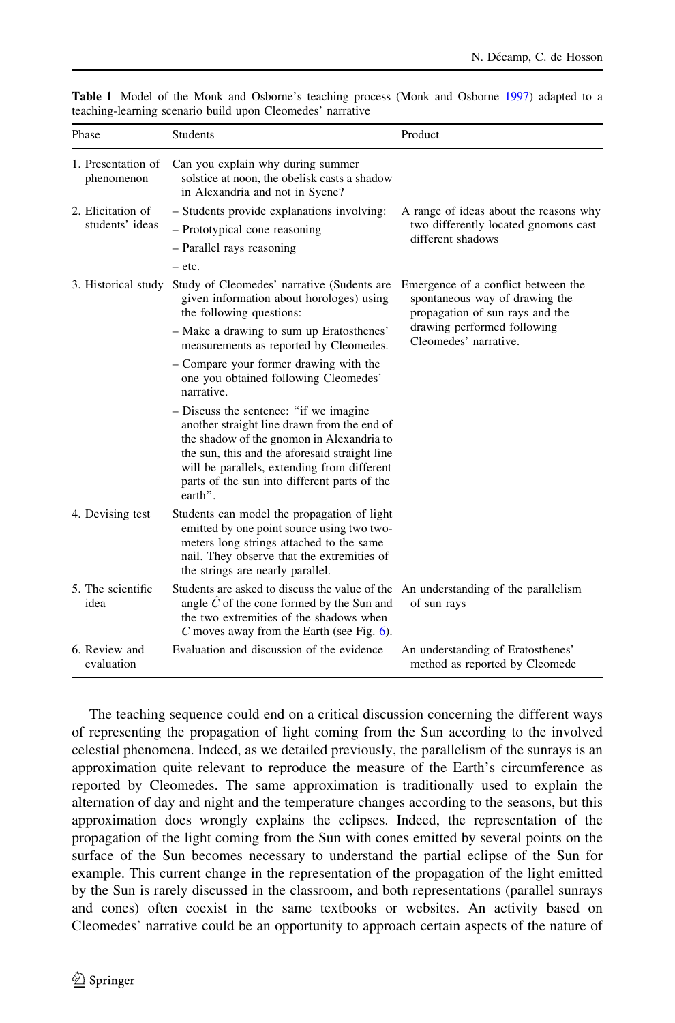| Phase |                                      | Students                                                                                                                                                                                                                                                                                      | Product                                                                                                                                                          |
|-------|--------------------------------------|-----------------------------------------------------------------------------------------------------------------------------------------------------------------------------------------------------------------------------------------------------------------------------------------------|------------------------------------------------------------------------------------------------------------------------------------------------------------------|
|       | 1. Presentation of<br>phenomenon     | Can you explain why during summer<br>solstice at noon, the obelisk casts a shadow<br>in Alexandria and not in Syene?                                                                                                                                                                          |                                                                                                                                                                  |
|       | 2. Elicitation of<br>students' ideas | - Students provide explanations involving:                                                                                                                                                                                                                                                    | A range of ideas about the reasons why<br>two differently located gnomons cast<br>different shadows                                                              |
|       |                                      | - Prototypical cone reasoning                                                                                                                                                                                                                                                                 |                                                                                                                                                                  |
|       |                                      | - Parallel rays reasoning                                                                                                                                                                                                                                                                     |                                                                                                                                                                  |
|       |                                      | $-$ etc.                                                                                                                                                                                                                                                                                      |                                                                                                                                                                  |
|       | 3. Historical study                  | Study of Cleomedes' narrative (Sudents are<br>given information about horologes) using<br>the following questions:                                                                                                                                                                            | Emergence of a conflict between the<br>spontaneous way of drawing the<br>propagation of sun rays and the<br>drawing performed following<br>Cleomedes' narrative. |
|       |                                      | - Make a drawing to sum up Eratosthenes'<br>measurements as reported by Cleomedes.                                                                                                                                                                                                            |                                                                                                                                                                  |
|       |                                      | - Compare your former drawing with the<br>one you obtained following Cleomedes'<br>narrative.                                                                                                                                                                                                 |                                                                                                                                                                  |
|       |                                      | - Discuss the sentence: "if we imagine<br>another straight line drawn from the end of<br>the shadow of the gnomon in Alexandria to<br>the sun, this and the aforesaid straight line<br>will be parallels, extending from different<br>parts of the sun into different parts of the<br>earth". |                                                                                                                                                                  |
|       | 4. Devising test                     | Students can model the propagation of light<br>emitted by one point source using two two-<br>meters long strings attached to the same<br>nail. They observe that the extremities of<br>the strings are nearly parallel.                                                                       |                                                                                                                                                                  |
|       | 5. The scientific<br>idea            | Students are asked to discuss the value of the An understanding of the parallelism<br>angle $\hat{C}$ of the cone formed by the Sun and<br>the two extremities of the shadows when<br>C moves away from the Earth (see Fig. $6$ ).                                                            | of sun rays                                                                                                                                                      |
|       | 6. Review and<br>evaluation          | Evaluation and discussion of the evidence                                                                                                                                                                                                                                                     | An understanding of Eratosthenes'<br>method as reported by Cleomede                                                                                              |

<span id="page-7-0"></span>Table 1 Model of the Monk and Osborne's teaching process (Monk and Osborne [1997\)](#page-9-0) adapted to a teaching-learning scenario build upon Cleomedes' narrative

The teaching sequence could end on a critical discussion concerning the different ways of representing the propagation of light coming from the Sun according to the involved celestial phenomena. Indeed, as we detailed previously, the parallelism of the sunrays is an approximation quite relevant to reproduce the measure of the Earth's circumference as reported by Cleomedes. The same approximation is traditionally used to explain the alternation of day and night and the temperature changes according to the seasons, but this approximation does wrongly explains the eclipses. Indeed, the representation of the propagation of the light coming from the Sun with cones emitted by several points on the surface of the Sun becomes necessary to understand the partial eclipse of the Sun for example. This current change in the representation of the propagation of the light emitted by the Sun is rarely discussed in the classroom, and both representations (parallel sunrays and cones) often coexist in the same textbooks or websites. An activity based on Cleomedes' narrative could be an opportunity to approach certain aspects of the nature of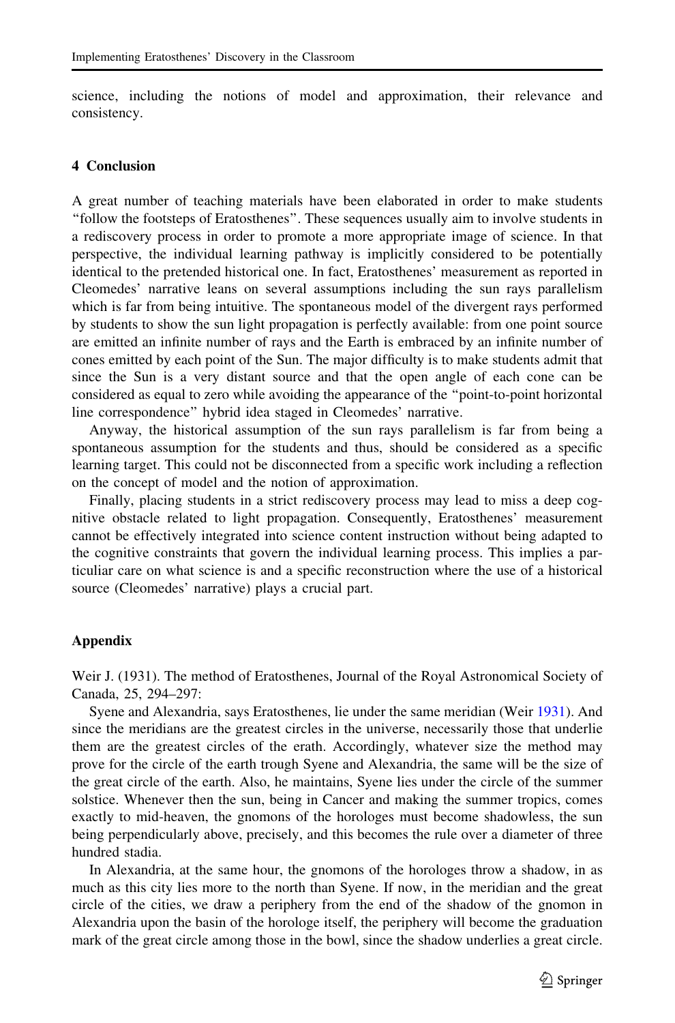<span id="page-8-0"></span>science, including the notions of model and approximation, their relevance and consistency.

### 4 Conclusion

A great number of teaching materials have been elaborated in order to make students ''follow the footsteps of Eratosthenes''. These sequences usually aim to involve students in a rediscovery process in order to promote a more appropriate image of science. In that perspective, the individual learning pathway is implicitly considered to be potentially identical to the pretended historical one. In fact, Eratosthenes' measurement as reported in Cleomedes' narrative leans on several assumptions including the sun rays parallelism which is far from being intuitive. The spontaneous model of the divergent rays performed by students to show the sun light propagation is perfectly available: from one point source are emitted an infinite number of rays and the Earth is embraced by an infinite number of cones emitted by each point of the Sun. The major difficulty is to make students admit that since the Sun is a very distant source and that the open angle of each cone can be considered as equal to zero while avoiding the appearance of the ''point-to-point horizontal line correspondence'' hybrid idea staged in Cleomedes' narrative.

Anyway, the historical assumption of the sun rays parallelism is far from being a spontaneous assumption for the students and thus, should be considered as a specific learning target. This could not be disconnected from a specific work including a reflection on the concept of model and the notion of approximation.

Finally, placing students in a strict rediscovery process may lead to miss a deep cognitive obstacle related to light propagation. Consequently, Eratosthenes' measurement cannot be effectively integrated into science content instruction without being adapted to the cognitive constraints that govern the individual learning process. This implies a particuliar care on what science is and a specific reconstruction where the use of a historical source (Cleomedes' narrative) plays a crucial part.

#### Appendix

Weir J. (1931). The method of Eratosthenes, Journal of the Royal Astronomical Society of Canada, 25, 294–297:

Syene and Alexandria, says Eratosthenes, lie under the same meridian (Weir [1931\)](#page-9-0). And since the meridians are the greatest circles in the universe, necessarily those that underlie them are the greatest circles of the erath. Accordingly, whatever size the method may prove for the circle of the earth trough Syene and Alexandria, the same will be the size of the great circle of the earth. Also, he maintains, Syene lies under the circle of the summer solstice. Whenever then the sun, being in Cancer and making the summer tropics, comes exactly to mid-heaven, the gnomons of the horologes must become shadowless, the sun being perpendicularly above, precisely, and this becomes the rule over a diameter of three hundred stadia.

In Alexandria, at the same hour, the gnomons of the horologes throw a shadow, in as much as this city lies more to the north than Syene. If now, in the meridian and the great circle of the cities, we draw a periphery from the end of the shadow of the gnomon in Alexandria upon the basin of the horologe itself, the periphery will become the graduation mark of the great circle among those in the bowl, since the shadow underlies a great circle.